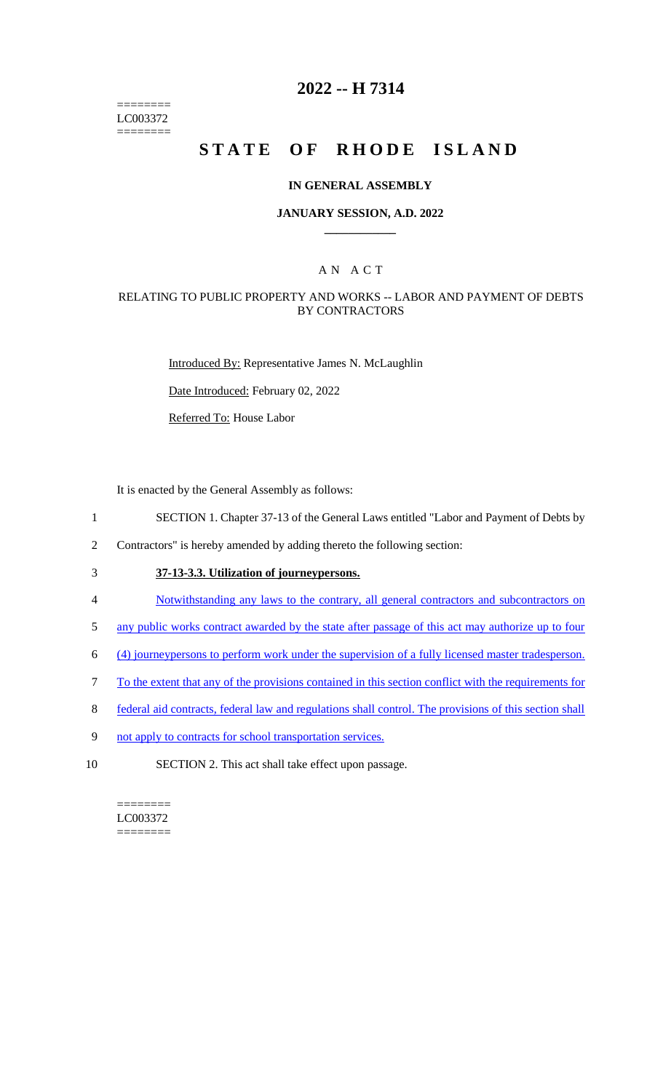======== LC003372 ========

## **2022 -- H 7314**

# **STATE OF RHODE ISLAND**

#### **IN GENERAL ASSEMBLY**

#### **JANUARY SESSION, A.D. 2022 \_\_\_\_\_\_\_\_\_\_\_\_**

## A N A C T

#### RELATING TO PUBLIC PROPERTY AND WORKS -- LABOR AND PAYMENT OF DEBTS BY CONTRACTORS

Introduced By: Representative James N. McLaughlin

Date Introduced: February 02, 2022

Referred To: House Labor

It is enacted by the General Assembly as follows:

- 1 SECTION 1. Chapter 37-13 of the General Laws entitled "Labor and Payment of Debts by
- 2 Contractors" is hereby amended by adding thereto the following section:
- 3 **37-13-3.3. Utilization of journeypersons.**
- 4 Notwithstanding any laws to the contrary, all general contractors and subcontractors on
- 5 any public works contract awarded by the state after passage of this act may authorize up to four
- 6 (4) journeypersons to perform work under the supervision of a fully licensed master tradesperson.
- 7 To the extent that any of the provisions contained in this section conflict with the requirements for
- 8 federal aid contracts, federal law and regulations shall control. The provisions of this section shall
- 9 not apply to contracts for school transportation services.
- 10 SECTION 2. This act shall take effect upon passage.

======== LC003372 ========